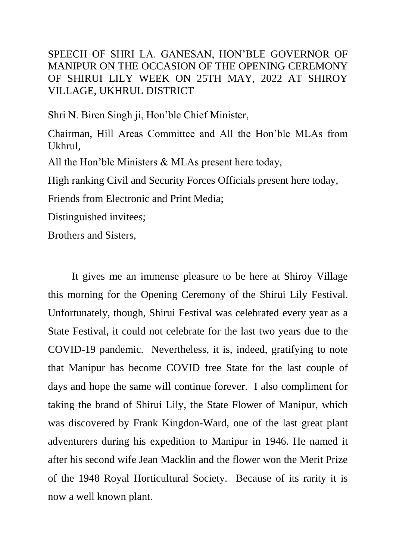SPEECH OF SHRI LA. GANESAN, HON'BLE GOVERNOR OF MANIPUR ON THE OCCASION OF THE OPENING CEREMONY OF SHIRUI LILY WEEK ON 25TH MAY, 2022 AT SHIROY VILLAGE, UKHRUL DISTRICT

Shri N. Biren Singh ji, Hon'ble Chief Minister,

Chairman, Hill Areas Committee and All the Hon'ble MLAs from Ukhrul,

All the Hon'ble Ministers & MLAs present here today,

High ranking Civil and Security Forces Officials present here today,

Friends from Electronic and Print Media;

Distinguished invitees;

Brothers and Sisters,

It gives me an immense pleasure to be here at Shiroy Village this morning for the Opening Ceremony of the Shirui Lily Festival. Unfortunately, though, Shirui Festival was celebrated every year as a State Festival, it could not celebrate for the last two years due to the COVID-19 pandemic. Nevertheless, it is, indeed, gratifying to note that Manipur has become COVID free State for the last couple of days and hope the same will continue forever. I also compliment for taking the brand of Shirui Lily, the State Flower of Manipur, which was discovered by Frank Kingdon-Ward, one of the last great plant adventurers during his expedition to Manipur in 1946. He named it after his second wife Jean Macklin and the flower won the Merit Prize of the 1948 Royal Horticultural Society. Because of its rarity it is now a well known plant.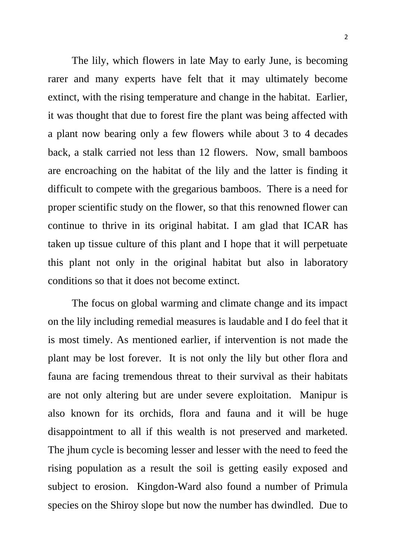The lily, which flowers in late May to early June, is becoming rarer and many experts have felt that it may ultimately become extinct, with the rising temperature and change in the habitat. Earlier, it was thought that due to forest fire the plant was being affected with a plant now bearing only a few flowers while about 3 to 4 decades back, a stalk carried not less than 12 flowers. Now, small bamboos are encroaching on the habitat of the lily and the latter is finding it difficult to compete with the gregarious bamboos. There is a need for proper scientific study on the flower, so that this renowned flower can continue to thrive in its original habitat. I am glad that ICAR has taken up tissue culture of this plant and I hope that it will perpetuate this plant not only in the original habitat but also in laboratory conditions so that it does not become extinct.

The focus on global warming and climate change and its impact on the lily including remedial measures is laudable and I do feel that it is most timely. As mentioned earlier, if intervention is not made the plant may be lost forever. It is not only the lily but other flora and fauna are facing tremendous threat to their survival as their habitats are not only altering but are under severe exploitation. Manipur is also known for its orchids, flora and fauna and it will be huge disappointment to all if this wealth is not preserved and marketed. The jhum cycle is becoming lesser and lesser with the need to feed the rising population as a result the soil is getting easily exposed and subject to erosion. Kingdon-Ward also found a number of Primula species on the Shiroy slope but now the number has dwindled. Due to